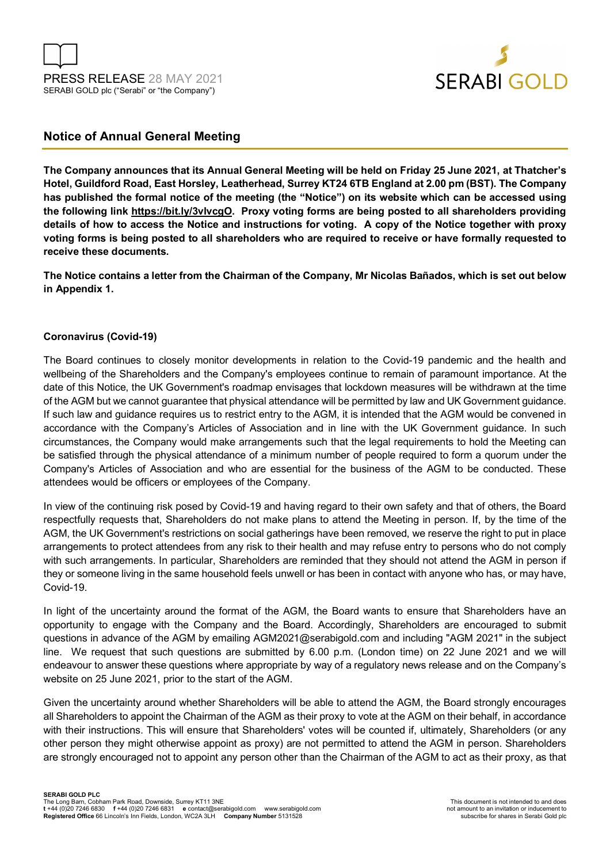



# **Notice of Annual General Meeting**

**The Company announces that its Annual General Meeting will be held on Friday 25 June 2021, at Thatcher's Hotel, Guildford Road, East Horsley, Leatherhead, Surrey KT24 6TB England at 2.00 pm (BST). The Company has published the formal notice of the meeting (the "Notice") on its website which can be accessed using the following link https://bit.ly/3vlvcgO. Proxy voting forms are being posted to all shareholders providing details of how to access the Notice and instructions for voting. A copy of the Notice together with proxy voting forms is being posted to all shareholders who are required to receive or have formally requested to receive these documents.** 

**The Notice contains a letter from the Chairman of the Company, Mr Nicolas Bañados, which is set out below in Appendix 1.** 

## **Coronavirus (Covid-19)**

The Board continues to closely monitor developments in relation to the Covid-19 pandemic and the health and wellbeing of the Shareholders and the Company's employees continue to remain of paramount importance. At the date of this Notice, the UK Government's roadmap envisages that lockdown measures will be withdrawn at the time of the AGM but we cannot guarantee that physical attendance will be permitted by law and UK Government guidance. If such law and guidance requires us to restrict entry to the AGM, it is intended that the AGM would be convened in accordance with the Company's Articles of Association and in line with the UK Government guidance. In such circumstances, the Company would make arrangements such that the legal requirements to hold the Meeting can be satisfied through the physical attendance of a minimum number of people required to form a quorum under the Company's Articles of Association and who are essential for the business of the AGM to be conducted. These attendees would be officers or employees of the Company.

In view of the continuing risk posed by Covid-19 and having regard to their own safety and that of others, the Board respectfully requests that, Shareholders do not make plans to attend the Meeting in person. If, by the time of the AGM, the UK Government's restrictions on social gatherings have been removed, we reserve the right to put in place arrangements to protect attendees from any risk to their health and may refuse entry to persons who do not comply with such arrangements. In particular, Shareholders are reminded that they should not attend the AGM in person if they or someone living in the same household feels unwell or has been in contact with anyone who has, or may have, Covid-19.

In light of the uncertainty around the format of the AGM, the Board wants to ensure that Shareholders have an opportunity to engage with the Company and the Board. Accordingly, Shareholders are encouraged to submit questions in advance of the AGM by emailing AGM2021@serabigold.com and including "AGM 2021" in the subject line. We request that such questions are submitted by 6.00 p.m. (London time) on 22 June 2021 and we will endeavour to answer these questions where appropriate by way of a regulatory news release and on the Company's website on 25 June 2021, prior to the start of the AGM.

Given the uncertainty around whether Shareholders will be able to attend the AGM, the Board strongly encourages all Shareholders to appoint the Chairman of the AGM as their proxy to vote at the AGM on their behalf, in accordance with their instructions. This will ensure that Shareholders' votes will be counted if, ultimately, Shareholders (or any other person they might otherwise appoint as proxy) are not permitted to attend the AGM in person. Shareholders are strongly encouraged not to appoint any person other than the Chairman of the AGM to act as their proxy, as that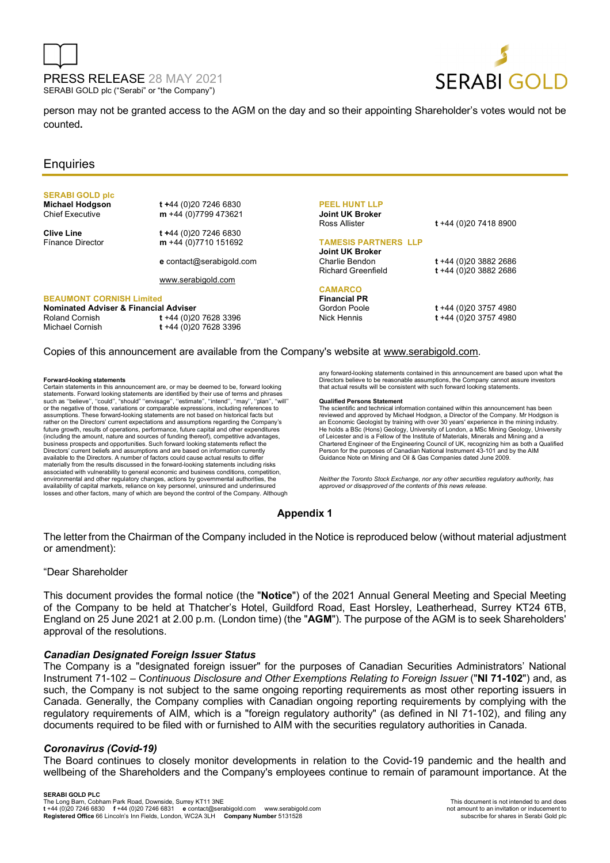



person may not be granted access to the AGM on the day and so their appointing Shareholder's votes would not be counted**.**

# **Enquiries**

# **SERABI GOLD plc**

**Michael Hodgson t +44 (0)20 7246 6830**<br>Chief Executive **m** +44 (0)7799 473621 m +44 (0)7799 473621

**Clive Line** t +44 (0)20 7246 6830<br>Fínance Director **m** +44 (0)7710 151692 m +44 (0)7710 151692

**e** contact@serabigold.com

www.serabigold.com

### **BEAUMONT CORNISH Limited**

| Nominated Adviser & Financial Adviser |                          |
|---------------------------------------|--------------------------|
| Roland Cornish                        | t +44 (0)20 7628 3396    |
| Michael Cornish                       | $t + 44 (0)20 7628 3396$ |

### **PEEL HUNT LLP Joint UK Broker**

Ross Allister **t** +44 (0)20 7418 8900

### **TAMESIS PARTNERS LLP**

**Joint UK Broker** Charlie Bendon **t** +44 (0)20 3882 2686

# **CAMARCO**

**Financial PR** Gordon Poole **t** +44 (0)20 3757 4980<br>Nick Hennis **t** +44 (0)20 3757 4980

Richard Greenfield **t** +44 (0)20 3882 2686

Nick Hennis **t** +44 (0)20 3757 4980

### Copies of this announcement are available from the Company's website at www.serabigold.com.

#### **Forward-looking statements**

Certain statements in this announcement are, or may be deemed to be, forward looking<br>statements. Forward looking statements are identified by their use of terms and phrases<br>such as "believe", "could", "should" ''envisage', or the negative of those, variations or comparable expressions, including references to assumptions. These forward-looking statements are not based on historical facts but rather on the Directors' current expectations and assumptions regarding the Company's future growth, results of operations, performance, future capital and other expenditures (including the amount, nature and sources of funding thereof), competitive advantages, business prospects and opportunities. Such forward looking statements reflect the Directors' current beliefs and assumptions and are based on information currently available to the Directors. A number of factors could cause actual results to differ materially from the results discussed in the forward-looking statements including risks associated with vulnerability to general economic and business conditions, competition, environmental and other regulatory changes, actions by governmental authorities, the availability of capital markets, reliance on key personnel, uninsured and underinsured losses and other factors, many of which are beyond the control of the Company. Although

any forward-looking statements contained in this announcement are based upon what the Directors believe to be reasonable assumptions, the Company cannot assure investors that actual results will be consistent with such forward looking statements.

#### **Qualified Persons Statement**

The scientific and technical information contained within this announcement has been reviewed and approved by Michael Hodgson, a Director of the Company. Mr Hodgson is an Economic Geologist by training with over 30 years' experience in the mining industry. He holds a BSc (Hons) Geology, University of London, a MSc Mining Geology, University of Leicester and is a Fellow of the Institute of Materials, Minerals and Mining and a Chartered Engineer of the Engineering Council of UK, recognizing him as both a Qualified Person for the purposes of Canadian National Instrument 43-101 and by the AIM Guidance Note on Mining and Oil & Gas Companies dated June 2009.

*Neither the Toronto Stock Exchange, nor any other securities regulatory authority, has approved or disapproved of the contents of this news release.*

### **Appendix 1**

The letter from the Chairman of the Company included in the Notice is reproduced below (without material adjustment or amendment):

### "Dear Shareholder

This document provides the formal notice (the "**Notice**") of the 2021 Annual General Meeting and Special Meeting of the Company to be held at Thatcher's Hotel, Guildford Road, East Horsley, Leatherhead, Surrey KT24 6TB, England on 25 June 2021 at 2.00 p.m. (London time) (the "**AGM**"). The purpose of the AGM is to seek Shareholders' approval of the resolutions.

### *Canadian Designated Foreign Issuer Status*

The Company is a "designated foreign issuer" for the purposes of Canadian Securities Administrators' National Instrument 71-102 – C*ontinuous Disclosure and Other Exemptions Relating to Foreign Issuer* ("**NI 71-102**") and, as such, the Company is not subject to the same ongoing reporting requirements as most other reporting issuers in Canada. Generally, the Company complies with Canadian ongoing reporting requirements by complying with the regulatory requirements of AIM, which is a "foreign regulatory authority" (as defined in NI 71-102), and filing any documents required to be filed with or furnished to AIM with the securities regulatory authorities in Canada.

### *Coronavirus (Covid-19)*

The Board continues to closely monitor developments in relation to the Covid-19 pandemic and the health and wellbeing of the Shareholders and the Company's employees continue to remain of paramount importance. At the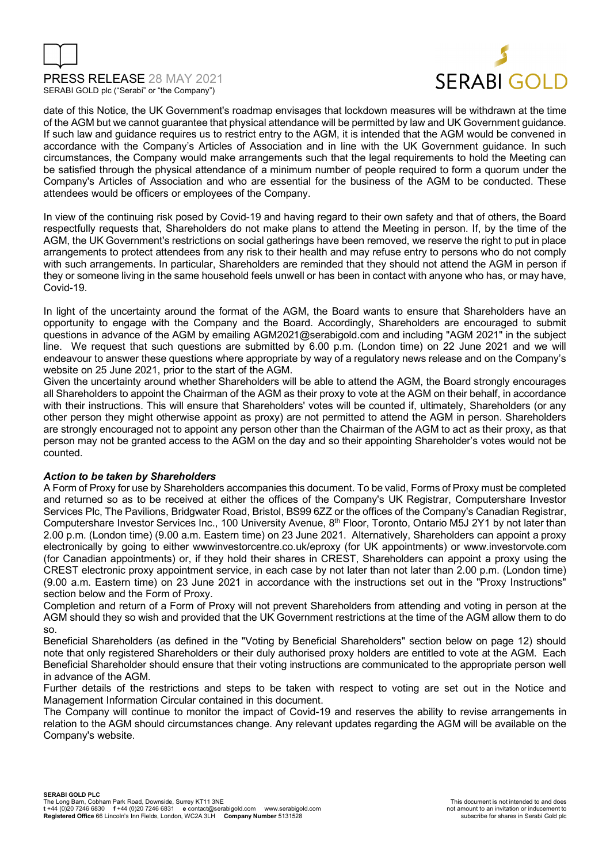



date of this Notice, the UK Government's roadmap envisages that lockdown measures will be withdrawn at the time of the AGM but we cannot guarantee that physical attendance will be permitted by law and UK Government guidance. If such law and guidance requires us to restrict entry to the AGM, it is intended that the AGM would be convened in accordance with the Company's Articles of Association and in line with the UK Government guidance. In such circumstances, the Company would make arrangements such that the legal requirements to hold the Meeting can be satisfied through the physical attendance of a minimum number of people required to form a quorum under the Company's Articles of Association and who are essential for the business of the AGM to be conducted. These attendees would be officers or employees of the Company.

In view of the continuing risk posed by Covid-19 and having regard to their own safety and that of others, the Board respectfully requests that, Shareholders do not make plans to attend the Meeting in person. If, by the time of the AGM, the UK Government's restrictions on social gatherings have been removed, we reserve the right to put in place arrangements to protect attendees from any risk to their health and may refuse entry to persons who do not comply with such arrangements. In particular, Shareholders are reminded that they should not attend the AGM in person if they or someone living in the same household feels unwell or has been in contact with anyone who has, or may have, Covid-19.

In light of the uncertainty around the format of the AGM, the Board wants to ensure that Shareholders have an opportunity to engage with the Company and the Board. Accordingly, Shareholders are encouraged to submit questions in advance of the AGM by emailing AGM2021@serabigold.com and including "AGM 2021" in the subject line. We request that such questions are submitted by 6.00 p.m. (London time) on 22 June 2021 and we will endeavour to answer these questions where appropriate by way of a regulatory news release and on the Company's website on 25 June 2021, prior to the start of the AGM.

Given the uncertainty around whether Shareholders will be able to attend the AGM, the Board strongly encourages all Shareholders to appoint the Chairman of the AGM as their proxy to vote at the AGM on their behalf, in accordance with their instructions. This will ensure that Shareholders' votes will be counted if, ultimately, Shareholders (or any other person they might otherwise appoint as proxy) are not permitted to attend the AGM in person. Shareholders are strongly encouraged not to appoint any person other than the Chairman of the AGM to act as their proxy, as that person may not be granted access to the AGM on the day and so their appointing Shareholder's votes would not be counted.

### *Action to be taken by Shareholders*

A Form of Proxy for use by Shareholders accompanies this document. To be valid, Forms of Proxy must be completed and returned so as to be received at either the offices of the Company's UK Registrar, Computershare Investor Services Plc, The Pavilions, Bridgwater Road, Bristol, BS99 6ZZ or the offices of the Company's Canadian Registrar, Computershare Investor Services Inc., 100 University Avenue, 8th Floor, Toronto, Ontario M5J 2Y1 by not later than 2.00 p.m. (London time) (9.00 a.m. Eastern time) on 23 June 2021. Alternatively, Shareholders can appoint a proxy electronically by going to either wwwinvestorcentre.co.uk/eproxy (for UK appointments) or www.investorvote.com (for Canadian appointments) or, if they hold their shares in CREST, Shareholders can appoint a proxy using the CREST electronic proxy appointment service, in each case by not later than not later than 2.00 p.m. (London time) (9.00 a.m. Eastern time) on 23 June 2021 in accordance with the instructions set out in the "Proxy Instructions" section below and the Form of Proxy.

Completion and return of a Form of Proxy will not prevent Shareholders from attending and voting in person at the AGM should they so wish and provided that the UK Government restrictions at the time of the AGM allow them to do so.

Beneficial Shareholders (as defined in the "Voting by Beneficial Shareholders" section below on page 12) should note that only registered Shareholders or their duly authorised proxy holders are entitled to vote at the AGM. Each Beneficial Shareholder should ensure that their voting instructions are communicated to the appropriate person well in advance of the AGM.

Further details of the restrictions and steps to be taken with respect to voting are set out in the Notice and Management Information Circular contained in this document.

The Company will continue to monitor the impact of Covid-19 and reserves the ability to revise arrangements in relation to the AGM should circumstances change. Any relevant updates regarding the AGM will be available on the Company's website.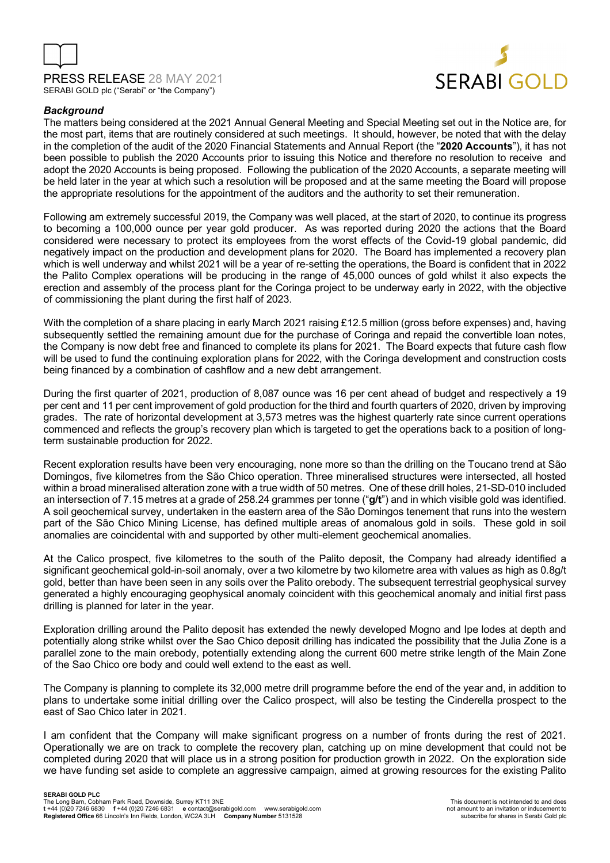



# *Background*

The matters being considered at the 2021 Annual General Meeting and Special Meeting set out in the Notice are, for the most part, items that are routinely considered at such meetings. It should, however, be noted that with the delay in the completion of the audit of the 2020 Financial Statements and Annual Report (the "**2020 Accounts**"), it has not been possible to publish the 2020 Accounts prior to issuing this Notice and therefore no resolution to receive and adopt the 2020 Accounts is being proposed. Following the publication of the 2020 Accounts, a separate meeting will be held later in the year at which such a resolution will be proposed and at the same meeting the Board will propose the appropriate resolutions for the appointment of the auditors and the authority to set their remuneration.

Following am extremely successful 2019, the Company was well placed, at the start of 2020, to continue its progress to becoming a 100,000 ounce per year gold producer. As was reported during 2020 the actions that the Board considered were necessary to protect its employees from the worst effects of the Covid-19 global pandemic, did negatively impact on the production and development plans for 2020. The Board has implemented a recovery plan which is well underway and whilst 2021 will be a year of re-setting the operations, the Board is confident that in 2022 the Palito Complex operations will be producing in the range of 45,000 ounces of gold whilst it also expects the erection and assembly of the process plant for the Coringa project to be underway early in 2022, with the objective of commissioning the plant during the first half of 2023.

With the completion of a share placing in early March 2021 raising £12.5 million (gross before expenses) and, having subsequently settled the remaining amount due for the purchase of Coringa and repaid the convertible loan notes, the Company is now debt free and financed to complete its plans for 2021. The Board expects that future cash flow will be used to fund the continuing exploration plans for 2022, with the Coringa development and construction costs being financed by a combination of cashflow and a new debt arrangement.

During the first quarter of 2021, production of 8,087 ounce was 16 per cent ahead of budget and respectively a 19 per cent and 11 per cent improvement of gold production for the third and fourth quarters of 2020, driven by improving grades. The rate of horizontal development at 3,573 metres was the highest quarterly rate since current operations commenced and reflects the group's recovery plan which is targeted to get the operations back to a position of longterm sustainable production for 2022.

Recent exploration results have been very encouraging, none more so than the drilling on the Toucano trend at São Domingos, five kilometres from the São Chico operation. Three mineralised structures were intersected, all hosted within a broad mineralised alteration zone with a true width of 50 metres. One of these drill holes, 21-SD-010 included an intersection of 7.15 metres at a grade of 258.24 grammes per tonne ("**g/t**") and in which visible gold was identified. A soil geochemical survey, undertaken in the eastern area of the São Domingos tenement that runs into the western part of the São Chico Mining License, has defined multiple areas of anomalous gold in soils. These gold in soil anomalies are coincidental with and supported by other multi-element geochemical anomalies.

At the Calico prospect, five kilometres to the south of the Palito deposit, the Company had already identified a significant geochemical gold-in-soil anomaly, over a two kilometre by two kilometre area with values as high as 0.8g/t gold, better than have been seen in any soils over the Palito orebody. The subsequent terrestrial geophysical survey generated a highly encouraging geophysical anomaly coincident with this geochemical anomaly and initial first pass drilling is planned for later in the year.

Exploration drilling around the Palito deposit has extended the newly developed Mogno and Ipe lodes at depth and potentially along strike whilst over the Sao Chico deposit drilling has indicated the possibility that the Julia Zone is a parallel zone to the main orebody, potentially extending along the current 600 metre strike length of the Main Zone of the Sao Chico ore body and could well extend to the east as well.

The Company is planning to complete its 32,000 metre drill programme before the end of the year and, in addition to plans to undertake some initial drilling over the Calico prospect, will also be testing the Cinderella prospect to the east of Sao Chico later in 2021.

I am confident that the Company will make significant progress on a number of fronts during the rest of 2021. Operationally we are on track to complete the recovery plan, catching up on mine development that could not be completed during 2020 that will place us in a strong position for production growth in 2022. On the exploration side we have funding set aside to complete an aggressive campaign, aimed at growing resources for the existing Palito